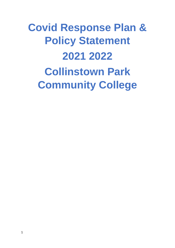# **Covid Response Plan & Policy Statement 2021 2022 Collinstown Park Community College**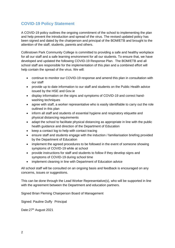# **COVID-19 Policy Statement**

A COVID-19 policy outlines the ongoing commitment of the school to implementing the plan and help prevent the introduction and spread of the virus. The revised updated policy has been signed and dated by the chairperson and principal of the BOM/ETB and brought to the attention of the staff, students, parents and others.

Collinstown Park Community College is committed to providing a safe and healthy workplace for all our staff and a safe learning environment for all our students. To ensure that, we have developed and updated the following COVID-19 Response Plan. The BOM/ETB and all school staff are responsible for the implementation of this plan and a combined effort will help contain the spread of the virus. We will:

- continue to monitor our COVID-19 response and amend this plan in consultation with our staff
- provide up to date information to our staff and students on the Public Health advice issued by the HSE and Gov.ie
- display information on the signs and symptoms of COVID-19 and correct handwashing techniques
- agree with staff, a worker representative who is easily identifiable to carry out the role outlined in this plan
- inform all staff and students of essential hygiene and respiratory etiquette and physical distancing requirements
- adapt the school to facilitate physical distancing as appropriate in line with the public health guidance and direction of the Department of Education
- keep a contact log to help with contact tracing
- ensure staff and students engage with the induction / familiarisation briefing provided by the Department of Education
- implement the agreed procedures to be followed in the event of someone showing symptoms of COVID-19 while at school
- provide instructions for staff and students to follow if they develop signs and symptoms of COVID-19 during school time
- implement cleaning in line with Department of Education advice

All school staff will be consulted on an ongoing basis and feedback is encouraged on any concerns, issues or suggestions.

This can be done through the Lead Worker Representative(s), who will be supported in line with the agreement between the Department and education partners.

Signed Brian Fleming Chairperson Board of Management

Signed: Pauline Duffy Principal

Date: 27<sup>th</sup> August 2021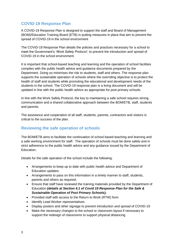# **COVID-19 Response Plan**

A COVID-19 Response Plan is designed to support the staff and Board of Management (BOM)/Education Training Board (ETB) in putting measures in place that aim to prevent the spread of COVID-19 in the school environment

The COVID-19 Response Plan details the policies and practices necessary for a school to meet the Government's '*Work Safely Protocol'*, to prevent the introduction and spread of COVID-19 in the school environment.

It is important that school-based teaching and learning and the operation of school facilities complies with the public health advice and guidance documents prepared by the Department. Doing so minimises the risk to students, staff and others. The response plan supports the sustainable operation of schools where the overriding objective is to protect the health of staff and students while promoting the educational and development needs of the students in the school. The COVID-19 response plan is a living document and will be updated in line with the public health advice as appropriate for post primary schools.

In line with the Work Safely Protocol, the key to maintaining a safe school requires strong communication and a shared collaborative approach between the BOM/ETB, staff, students and parents.

The assistance and cooperation of all staff, students, parents, contractors and visitors is critical to the success of the plan.

# **Reviewing the safe operation of schools**

The BOM/ETB aims to facilitate the continuation of school based teaching and learning and a safe working environment for staff. The operation of schools must be done safely and in strict adherence to the public health advice and any guidance issued by the Department of Education.

Details for the safe operation of the school include the following:

- Arrangements to keep up to date with public health advice and Department of Education updates;
- Arrangements to pass on this information in a timely manner to staff, students, parents and others as required;
- Ensure that staff have reviewed the training materials provided by the Department of Education *(details at Section 4.1 of Covid 19 Response Plan for the Safe & Sustainable Operation of Post Primary Schools);*
- Provided staff with access to the Return to Work (RTW) form
- Identify Lead Worker representatives
- Display posters and other signage to prevent introduction and spread of COVID-19
- Make the necessary changes to the school or classroom layout if necessary to support the redesign of classrooms to support physical distancing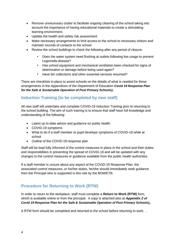- Remove unnecessary clutter to facilitate ongoing cleaning of the school taking into account the importance of having educational materials to create a stimulating learning environment;
- Update the health and safety risk assessment
- Make necessary arrangements to limit access to the school to necessary visitors and maintain records of contacts to the school
- Review the school buildings to check the following after any period of closure:
	- Does the water system need flushing at outlets following low usage to prevent Legionella disease?
	- Has school equipment and mechanical ventilation been checked for signs of deterioration or damage before being used again?
	- Have bin collections and other essential services resumed?

There are checklists in place to assist schools on the details of what is needed for these arrangements in the Appendices of the Department of Education *Covid 19 Response Plan for the Safe & Sustainable Operation of Post Primary Schools);*

# **Induction Training (to be completed by new staff)**

All new staff will undertake and complete COVID-19 Induction Training prior to returning to the school building. The aim of such training is to ensure that staff have full knowledge and understanding of the following:

- Latest up to-date advice and guidance on public health
- COVID-19 symptoms
- What to do if a staff member or pupil develops symptoms of COVID-19 while at school
- Outline of the COVID-19 response plan

Staff will be kept fully informed of the control measures in place in the school and their duties and responsibilities in preventing the spread of COVID-19 and will be updated with any changes to the control measures or guidance available from the public health authorities.

If a staff member is unsure about any aspect of the COVID-19 Response Plan, the associated control measures, or his/her duties, he/she should immediately seek guidance from the Principal who is supported in this role by the BOM/ETB.

# **Procedure for Returning to Work (RTW)**

In order to return to the workplace, staff must complete a **Return to Work (RTW)** form, which is available online or from the principal. A copy is attached also at *Appendix 2 of Covid 19 Response Plan for the Safe & Sustainable Operation of Post Primary Schools);.*

A RTW form should be completed and returned to the school before returning to work. .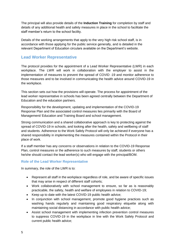The principal will also provide details of the **Induction Training** for completion by staff and details of any additional health and safety measures in place in the school to facilitate the staff member's return to the school facility.

Details of the working arrangements that apply to the very high risk school staff, is in accordance with those applying for the public service generally, and is detailed in the relevant Department of Education circulars available on the Department's website.

## **Lead Worker Representative**

The protocol provides for the appointment of a Lead Worker Representative (LWR) in each workplace. The LWR will work in collaboration with the employer to assist in the implementation of measures to prevent the spread of COVID -19 and monitor adherence to those measures and to be involved in communicating the health advice around COVID-19 in the workplace.

This section sets out how the provisions will operate. The process for appointment of the lead worker representative in schools has been agreed centrally between the Department of Education and the education partners.

Responsibility for the development, updating and implementation of the COVID-19 Response Plan and the associated control measures lies primarily with the Board of Management/ Education and Training Board and school management.

Strong communication and a shared collaborative approach is key to protecting against the spread of COVID-19 in schools, and looking after the health, safety and wellbeing of staff and students. Adherence to the Work Safely Protocol will only be achieved if everyone has a shared responsibility in implementing the measures contained within the Protocol in their place of work.

If a staff member has any concerns or observations in relation to the COVID-19 Response Plan, control measures or the adherence to such measures by staff, students or others he/she should contact the lead worker(s) who will engage with the principal/BOM.

## **Role of the Lead Worker Representative**

In summary, the role of the LWR is to:

- Represent all staff in the workplace regardless of role, and be aware of specific issues that may arise in respect of different staff cohorts;
- Work collaboratively with school management to ensure, so far as is reasonably practicable, the safety, health and welfare of employees in relation to COVID-19;
- Keep up to date with the latest COVID-19 public health advice;
- In conjunction with school management, promote good hygiene practices such as washing hands regularly and maintaining good respiratory etiquette along with maintaining social distancing in accordance with public health advice;
- Assist school management with implementing infection prevention control measures to suppress COVID-19 in the workplace in line with the Work Safely Protocol and current public health advice;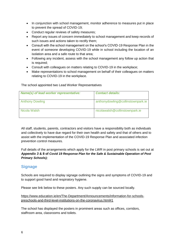- In conjunction with school management, monitor adherence to measures put in place to prevent the spread of COVID-19;
- Conduct regular reviews of safety measures:
- Report any issues of concern immediately to school management and keep records of such issues and actions taken to rectify them;
- Consult with the school management on the school's COVID-19 Response Plan in the event of someone developing COVID-19 while in school including the location of an isolation area and a safe route to that area;
- Following any incident, assess with the school management any follow up action that is required;
- Consult with colleagues on matters relating to COVID-19 in the workplace;
- Make representations to school management on behalf of their colleagues on matters relating to COVID-19 in the workplace.

## The school appointed two Lead Worker Representatives

| Name(s) of lead worker representative: | <b>Contact details:</b>           |
|----------------------------------------|-----------------------------------|
| <b>Anthony Dowling</b>                 | anthonydowling@collinstownpark.ie |
| Nicola Walsh                           | nicolawalsh@collinstownpark.ie    |

All staff, students, parents, contractors and visitors have a responsibility both as individuals and collectively to have due regard for their own health and safety and that of others and to assist with the implementation of the COVID-19 Response Plan and associated infection prevention control measures.

Full details of the arrangements which apply for the LWR in post primary schools is set out at *Appendix 3* **& 8 of** *Covid 19 Response Plan for the Safe & Sustainable Operation of Post Primary Schools);*

# **Signage**

Schools are required to display signage outlining the signs and symptoms of COVID-19 and to support good hand and respiratory hygiene.

Please see link below to these posters. Any such supply can be sourced locally.

[https://www.education.ie/en/The-Department/Announcements/information-for-schools](https://www.education.ie/en/The-Department/Announcements/information-for-schools-preschools-and-third-level-institutions-on-the-coronavirus.html#1)[preschools-and-third-level-institutions-on-the-coronavirus.html#1](https://www.education.ie/en/The-Department/Announcements/information-for-schools-preschools-and-third-level-institutions-on-the-coronavirus.html#1)

The school has displayed the posters in prominent areas such as offices, corridors, staffroom area, classrooms and toilets.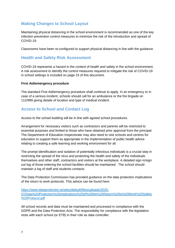# **Making Changes to School Layout**

Maintaining physical distancing in the school environment is recommended as one of the key infection prevention control measures to minimize the risk of the introduction and spread of COVID-19.

Classrooms have been re-configured to support physical distancing in line with the guidance.

## **Health and Safety Risk Assessment**

COVID-19 represents a hazard in the context of health and safety in the school environment. A risk assessment to identify the control measures required to mitigate the risk of COVID-19 in school settings is included on page 23 of this document.

### **First Aid/emergency procedure**

The standard First Aid/emergency procedure shall continue to apply. In an emergency or in case of a serious incident, schools should call for an ambulance or the fire brigade on 112/999 giving details of location and type of medical incident.

# **Access to School and Contact Log**

Access to the school building will be in line with agreed school procedures.

Arrangement for necessary visitors such as contractors and parents will be restricted to essential purposes and limited to those who have obtained prior approval from the principal. The Department of Education Inspectorate may also need to visit schools and centres for education to support them as appropriate in the implementation of public health advice relating to creating a safe learning and working environment for all.

The prompt identification and isolation of potentially infectious individuals is a crucial step in restricting the spread of the virus and protecting the health and safety of the individuals themselves and other staff, contractors and visitors at the workplace. A detailed sign in/sign out log of those entering the school facilities should be maintained. The school should maintain a log of staff and students contacts.

The Data Protection Commission has provided guidance on the data protection implications of the return to work protocols. This advice can be found here:

[https://www.dataprotection.ie/sites/default/files/uploads/2020-](https://www.dataprotection.ie/sites/default/files/uploads/2020-07/Data%20Protection%20implications%20of%20the%20Return%20to%20Work%20Safely%20Protocol.pdf) [07/Data%20Protection%20implications%20of%20the%20Return%20to%20Work%20Safely](https://www.dataprotection.ie/sites/default/files/uploads/2020-07/Data%20Protection%20implications%20of%20the%20Return%20to%20Work%20Safely%20Protocol.pdf) [%20Protocol.pdf](https://www.dataprotection.ie/sites/default/files/uploads/2020-07/Data%20Protection%20implications%20of%20the%20Return%20to%20Work%20Safely%20Protocol.pdf)

All school records and data must be maintained and processed in compliance with the GDPR and the Data Protection Acts. The responsibility for compliance with the legislation rests with each school (or ETB) in their role as data controller.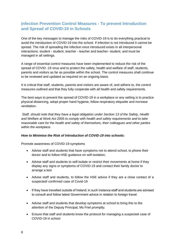# **Infection Prevention Control Measures - To prevent Introduction and Spread of COVID-19 in Schools**

One of the key messages to manage the risks of COVID-19 is to do everything practical to avoid the introduction of COVID-19 into the school. If infection is not introduced it cannot be spread. The risk of spreading the infection once introduced exists in all interpersonal interactions; student - student, teacher - teacher and teacher- student, and must be managed in all settings.

A range of essential control measures have been implemented to reduce the risk of the spread of COVID -19 virus and to protect the safety, health and welfare of staff, students, parents and visitors as far as possible within the school. The control measures shall continue to be reviewed and updated as required on an ongoing basis.

It is critical that staff, students, parents and visitors are aware of, and adhere to, the control measures outlined and that they fully cooperate with all health and safety requirements.

The best ways to prevent the spread of COVID-19 in a workplace or any setting is to practice physical distancing, adopt proper hand hygiene, follow respiratory etiquette and increase ventilation.

*Staff, should note that they have a legal obligation under Section 13 of the Safety, Health and Welfare at Work Act 2005 to comply with health and safety requirements and to take reasonable care for the health and safety of themselves, their colleagues and other parties within the workplace.* 

## *How to Minimise the Risk of Introduction of COVID-19 into schools:*

Promote awareness of COVID-19 symptoms

- Advise staff and students that have symptoms not to attend school, to phone their doctor and to follow HSE guidance on self-isolation;
- Advise staff and students to self-isolate or restrict their movements at home if they display any signs or symptoms of COVID-19 and contact their family doctor to arrange a test
- Advise staff and students, to follow the HSE advice if they are a close contact of a suspected/ confirmed case of Covid-19
- If they have travelled outside of Ireland; in such instance staff and students are advised to consult and follow latest Government advice in relation to foreign travel.
- Advise staff and students that develop symptoms at school to bring this to the attention of the Deputy Principal, Ms Friel promptly;
- Ensure that staff and students know the protocol for managing a suspected case of COVID-19 in school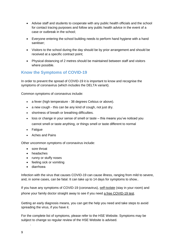- Advise staff and students to cooperate with any public health officials and the school for contact tracing purposes and follow any public health advice in the event of a case or outbreak in the school;
- Everyone entering the school building needs to perform hand hygiene with a hand sanitiser;
- Visitors to the school during the day should be by prior arrangement and should be received at a specific contract point;
- Physical distancing of 2 metres should be maintained between staff and visitors where possible.

# **Know the Symptoms of COVID-19**

In order to prevent the spread of COVID-19 it is important to know and recognise the symptoms of coronavirus (which includes the DELTA variant).

Common symptoms of coronavirus include:

- a fever (high temperature 38 degrees Celsius or above).
- a new cough this can be any kind of cough, not just dry.
- shortness of breath or breathing difficulties.
- loss or change in your sense of smell or taste this means you've noticed you cannot smell or taste anything, or things smell or taste different to normal
- Fatigue
- Aches and Pains

Other uncommon symptoms of coronavirus include:

- sore throat
- headaches
- runny or stuffy noses
- feeling sick or vomiting
- diarrhoea

Infection with the virus that causes COVID-19 can cause illness, ranging from mild to severe, and, in some cases, can be fatal. It can take up to 14 days for symptoms to show..

If you have any symptoms of COVID-19 (coronavirus), [self-isolate](https://www2.hse.ie/conditions/coronavirus/self-isolation/how-to-self-isolate.html) (stay in your room) and phone your family doctor straight away to see if you need [a free COVID-19 test.](https://www2.hse.ie/conditions/coronavirus/testing/how-to-get-tested.html)

Getting an early diagnosis means, you can get the help you need and take steps to avoid spreading the virus, if you have it.

For the complete list of symptoms, please refer to the HSE Website. Symptoms may be subject to change so regular review of the HSE Website is advised.

[centre.](https://www2.hse.ie/conditions/coronavirus/testing/covid-19-walk-in-test-centres.html)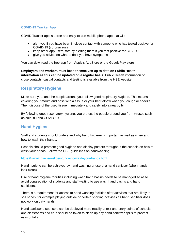## **COVID-19 Tracker App**

COVID Tracker app is a free and easy-to-use mobile phone app that will:

- alert you if you have been in [close contact](https://www2.hse.ie/conditions/coronavirus/close-contact-and-casual-contact.html) with someone who has tested positive for COVID-19 (coronavirus)
- keep other app users safe by alerting them if you test positive for COVID-19
- give you advice on what to do if you have symptoms

You can download the free app from [Apple's AppStore](https://apps.apple.com/ie/app/covid-tracker-ireland/id1505596721) or the [GooglePlay store](https://play.google.com/store/apps/details?id=com.covidtracker.hse)

**Employers and workers must keep themselves up to date on Public Health information as this can be updated on a regular basis.** Public Health information on [close contacts, casual contacts and testing](https://www2.hse.ie/conditions/coronavirus/close-contact-and-casual-contact.html) is available from the HSE website.

## **Respiratory Hygiene**

Make sure you, and the people around you, follow good respiratory hygiene. This means covering your mouth and nose with a tissue or your bent elbow when you cough or sneeze. Then dispose of the used tissue immediately and safely into a nearby bin.

By following good respiratory hygiene, you protect the people around you from viruses such as cold, flu and COVID-19.

## **Hand Hygiene**

Staff and students should understand why hand hygiene is important as well as when and how to wash their hands.

Schools should promote good hygiene and display posters throughout the schools on how to wash your hands. Follow the HSE guidelines on handwashing:

<https://www2.hse.ie/wellbeing/how-to-wash-your-hands.html>

Hand hygiene can be achieved by hand washing or use of a hand sanitiser (when hands look clean).

Use of hand hygiene facilities including wash hand basins needs to be managed so as to avoid congregation of students and staff waiting to use wash hand basins and hand sanitisers.

There is a requirement for access to hand washing facilities after activities that are likely to soil hands, for example playing outside or certain sporting activities as hand sanitiser does not work on dirty hands.

Hand sanitiser dispensers can be deployed more readily at exit and entry points of schools and classrooms and care should be taken to clean up any hand sanitizer spills to prevent risks of falls.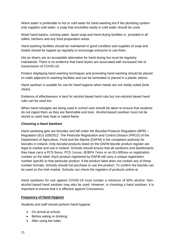Warm water is preferable to hot or cold water for hand washing but if the plumbing system only supplies cold water, a soap that emulsifies easily in cold water should be used.

Wash hand basins, running water, liquid soap and hand drying facilities is provided in all toilets, kitchens and any food preparation areas.

Hand washing facilities should be maintained in good condition and supplies of soap and towels should be topped up regularly to encourage everyone to use them.

Hot air dryers are an acceptable alternative for hand drying but must be regularly maintained. There is no evidence that hand dryers are associated with increased risk of transmission of COVID-19.

Posters displaying hand washing techniques and promoting hand washing should be placed on walls adjacent to washing facilities and can be laminated or placed in a plastic sleeve.

Hand sanitiser is suitable for use for hand hygiene when hands are not visibly soiled (look clean).

Evidence of effectiveness is best for alcohol based hand rubs but non-alcohol based hand rubs can be used too.

When hand rubs/gels are being used in school care should be taken to ensure that students do not ingest them as they are flammable and toxic. Alcohol-based sanitiser must not be stored or used near heat or naked flame

## **Choosing a Hand Sanitiser**

Hand sanitising gels are biocides and fall under the Biocidal Products Regulation (BPR) – Regulation (EU) 528/2012. The Pesticide Registration and Control Division (PRCD) of the Department of Agriculture, Food and the Marine (DAFM) is the competent authority for biocides in Ireland. Only biocidal products listed on the DAFM biocide product register are legal to market and use in Ireland. Schools should ensure that all sanitisers and disinfectants they have carry a PCS 9xxxx, PCS 1xxxxx, IE/BPA 7xxxx or an EU-000xxx-xx registration number on the label. Each product registered by DAFM will carry a unique registration number specific to that particular product. If the product label does not contain any of these number formats, Schools should not purchase or use the product. To confirm the biocide can be used on the Irish market, Schools can check the registers of products online at

Hand sanitisers for use against COVID-19 must contain a minimum of 60% alcohol. Nonalcohol based hand sanitiser may also be used. However, in choosing a hand sanitiser, it is important to ensure that it is effective against Coronavirus.

#### **Frequency of Hand Hygiene**

[Product Registers.](https://www.pcs.agriculture.gov.ie/registers/biocidalproductregisters/)

Students and staff should perform hand hygiene:

- On arrival at school:
- Before eating or drinking;
- After using the toilet: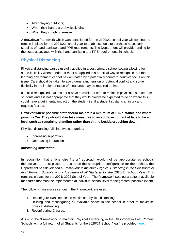- After playing outdoors;
- When their hands are physically dirty;
- When they cough or sneeze.

A drawdown framework which was established for the 2020/21 school year will continue to remain in place for the 2021/22 school year to enable schools to purchase necessary supplies of hand-sanitisers and PPE requirements. The Department will provide funding for the costs associated with the hand sanitising and PPE requirements in schools.

# **Physical Distancing**

Physical distancing can be usefully applied in a post primary school setting allowing for some flexibility when needed. It must be applied in a practical way to recognise that the learning environment cannot be dominated by a potentially counterproductive focus on this issue. Care should be taken to avoid generating tension or potential conflict and some flexibility in the implementation of measures may be required at time.

It is also recognised that it is not always possible for staff to maintain physical distance from students and it is not appropriate that they would always be expected to do so where this could have a detrimental impact on the student i.e. if a student sustains an injury and requires first aid.

**However where possible staff should maintain a minimum of 1 m distance and where possible 2m. They should also take measures to avoid close contact at face to face level such as remaining standing rather than sitting beside/crouching down**.

Physical distancing falls into two categories:

- Increasing separation
- Decreasing interaction

## *Increasing separation*

In recognition that a 'one size fits all' approach would not be appropriate as schools themselves are best placed to decide on the appropriate configuration for their school, the Department has developed a *Framework to maintain Physical Distancing in the Classroom in*  Post Primary Schools with a full return of all Students for the 2020/21 School Year. This remains in place for the 2021/ 2022 School Year.The Framework sets out a suite of available measures that must be implemented at individual school level to the greatest possible extent.

The following measures set out in the Framework are used:

- 1. Reconfigure class spaces to maximise physical distancing;
- 2. Utilising and reconfiguring all available space in the school in order to maximise physical distancing;
- 3. Reconfiguring Classes;

A link to the "Framework to maintain Physical Distancing in the Classroom in Post Primary Schools with a full return of all Students for the 2020/21 School Year" is provided [here.](https://assets.gov.ie/83472/ca0e3029-2d43-4e77-8181-bc3dc89455d2.pdf)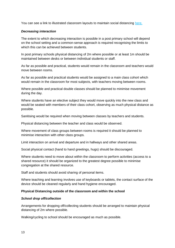You can see a link to illustrated classroom layouts to maintain social distancing [here.](https://s3-eu-west-1.amazonaws.com/govieassets/81947/e89b3523-78ee-45cb-ae14-c13d143b889b.pdf)

## *Decreasing interaction*

The extent to which decreasing interaction is possible in a post primary school will depend on the school setting and a common-sense approach is required recognising the limits to which this can be achieved between students.

In post primary schools physical distancing of 2m where possible or at least 1m should be maintained between desks or between individual students or staff.

As far as possible and practical, students would remain in the classroom and teachers would move between rooms.

As far as possible and practical students would be assigned to a main class cohort which would remain in the classroom for most subjects, with teachers moving between rooms.

Where possible and practical double classes should be planned to minimise movement during the day.

Where students have an elective subject they would move quickly into the new class and would be seated with members of their class cohort, observing as much physical distance as possible.

Sanitising would be required when moving between classes by teachers and students.

Physical distancing between the teacher and class would be observed.

Where movement of class groups between rooms is required it should be planned to minimise interaction with other class groups.

Limit interaction on arrival and departure and in hallways and other shared areas.

Social physical contact (hand to hand greetings, hugs) should be discouraged.

Where students need to move about within the classroom to perform activities (access to a shared resource) it should be organized to the greatest degree possible to minimise congregation at the shared resource.

Staff and students should avoid sharing of personal items.

Where teaching and learning involves use of keyboards or tablets, the contact surface of the device should be cleaned regularly and hand hygiene encouraged.

#### **Physical Distancing outside of the classroom and within the school**

#### *School drop off/collection*

Arrangements for dropping off/collecting students should be arranged to maintain physical distancing of 2m where possible.

Walking/cycling to school should be encouraged as much as possible.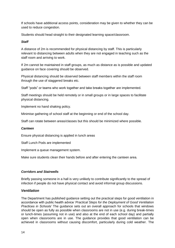If schools have additional access points, consideration may be given to whether they can be used to reduce congestion.

Students should head straight to their designated learning space/classroom.

### *Staff*

A distance of 2m is recommended for physical distancing by staff. This is particularly relevant to distancing between adults when they are not engaged in teaching such as the staff room and arriving to work.

If 2m cannot be maintained in staff groups, as much as distance as is possible and updated guidance on face covering should be observed.

Physical distancing should be observed between staff members within the staff room through the use of staggered breaks etc.

Staff "pods" or teams who work together and take breaks together are implemented.

Staff meetings should be held remotely or in small groups or in large spaces to facilitate physical distancing.

Implement no hand shaking policy.

Minimise gathering of school staff at the beginning or end of the school day.

Staff can rotate between areas/classes but this should be minimized where possible.

#### *Canteen*

Ensure physical distancing is applied in lunch areas

Staff Lunch Pods are implemented

Implement a queue management system.

Make sure students clean their hands before and after entering the canteen area.

#### *Corridors and Stairwells*

Briefly passing someone in a hall is very unlikely to contribute significantly to the spread of infection if people do not have physical contact and avoid informal group discussions.

#### *Ventilation*

The Department has published guidance setting out the practical steps for good ventilation in accordance with public health advice '*Practical Steps for the Deployment of Good Ventilation Practices in Schools'* The guidance sets out an overall approach for schools that windows should be open as fully as possible when classrooms are not in use (e.g. during break-times or lunch-times (assuming not in use) and also at the end of each school day) and partially open when classrooms are in use. The guidance provides that good ventilation can be achieved in classrooms without causing discomfort, particularly during cold weather. The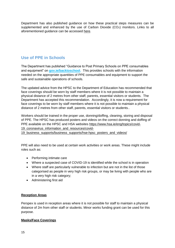Department has also published guidance on how these practical steps measures can be supplemented and enhanced by the use of Carbon Dioxide (CO<sub>2</sub>) monitors. Links to all aforementioned guidance can be accessed [here.](https://www.gov.ie/en/publication/ad236-guidance-on-ventilation-in-schools/)

# **Use of PPE in Schools**

The Department has published "Guidance to Post Primary Schools on PPE consumables and equipment" on **[gov.ie/backtoschool.](http://www.gov.ie/backtoschool)** This provides schools with the information needed on the appropriate quantities of PPE consumables and equipment to support the safe and sustainable operations of schools.

The updated advice from the HPSC to the Department of Education has recommended that face coverings should be worn by staff members where it is not possible to maintain a physical distance of 2 metres from other staff, parents, essential visitors or students. The Department has accepted this recommendation. Accordingly, it is now a requirement for face coverings to be worn by staff members where it is not possible to maintain a physical distance of 2 metres from other staff, parents, essential visitors or students..

Workers should be trained in the proper use, donning/doffing, cleaning, storing and disposal of PPE. The HPSC has produced posters and videos on the correct donning and doffing of PPE available on the HPSC and HSA websites [https://www.hsa.ie/eng/topics/covid-](https://www.hsa.ie/eng/topics/covid-19_coronavirus_information_and_resources/covid-19_business_supports/business_supports/hse-hpsc_posters_and_videos/)19 coronavirus information and resources/covid-

19 business supports/business supports/hse-hpsc posters and videos/

PPE will also need to be used at certain work activities or work areas. These might include roles such as:

- Performing intimate care
- Where a suspected case of COVID-19 is identified while the school is in operation
- Where staff are particularly vulnerable to infection but are not in the list of those categorised as people in very high risk groups, or may be living with people who are in a very high risk category;
- Administering first aid

## **Reception Areas**

Perspex is used in reception areas where it is not possible for staff to maintain a physical distance of 2m from other staff or students. Minor works funding grant can be used for this purpose.

## **Masks/Face Coverings**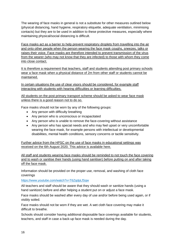The wearing of face masks in general is not a substitute for other measures outlined below (physical distancing, hand hygiene, respiratory etiquette, adequate ventilation, minimising contacts) but they are to be used in addition to these protective measures, especially where maintaining physical/social distancing is difficult.

Face masks act as a barrier to help prevent respiratory droplets from travelling into the air and onto other people when the person wearing the face mask coughs, sneezes, talks or raises their voice. Face masks are therefore intended to prevent transmission of the virus from the wearer (who may not know that they are infected) to those with whom they come into close contact.

It is therefore a requirement that teachers, staff and students attending post primary schools wear a face mask when a physical distance of 2m from other staff or students cannot be maintained.

In certain situations the use of clear visors should be considered, for example staff interacting with students with hearing difficulties or learning difficulties.

All students on the post primary transport scheme should be asked to wear face mask unless there is a good reason not to do so.

Face masks should not be worn by any of the following groups:

- Any person with difficulty breathing
- Any person who is unconscious or incapacitated
- Any person who is unable to remove the face-covering without assistance
- Any person who has special needs and who may feel upset or very uncomfortable wearing the face mask, for example persons with intellectual or developmental disabilities, mental health conditions, sensory concerns or tactile sensitivity.

Further advice from the HPSC on the use of face masks in educational settings was received on the 6th August 2020. This advice is available [here.](https://assets.gov.ie/83506/86fba2a7-26da-4c19-bce3-b0d01aaaf59b.pdf)

All staff and students wearing face masks should be reminded to not touch the face covering and to wash or sanitise their hands (using hand sanitiser) before putting on and after taking off the face mask.

Information should be provided on the proper use, removal, and washing of cloth face coverings

<https://www.youtube.com/watch?v=T6ZqdpLfSqw>

All teachers and staff should be aware that they should wash or sanitize hands (using a hand sanitizer) before and after helping a student put on or adjust a face mask.

Face masks should be washed after every day of use and/or before being used again, or if visibly soiled.

Face masks should not be worn if they are wet. A wet cloth face covering may make it difficult to breathe.

Schools should consider having additional disposable face coverings available for students, teachers, and staff in case a back-up face mask is needed during the day.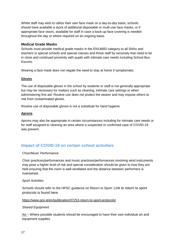Whilst staff may wish to utilize their own face mask on a day-to-day basis, schools should have available a stock of additional disposable or multi-use face masks, or if appropriate face visors, available for staff in case a back-up face covering is needed throughout the day or where required on an ongoing basis.

## **Medical Grade Masks**

Schools must provide medical grade masks in the EN14683 category to all SNAs and teachers in special schools and special classes and those staff by necessity that need to be in close and continued proximity with pupils with intimate care needs including School Bus Escorts.

Wearing a face mask does not negate the need to stay at home if symptomatic.

## **Gloves**

The use of disposable gloves in the school by students or staff is not generally appropriate but may be necessary for matters such as cleaning, intimate care settings or when administering first aid. Routine use does not protect the wearer and may expose others to risk from contaminated gloves.

Routine use of disposable gloves is not a substitute for hand hygiene.

### **Aprons**

Aprons may also be appropriate in certain circumstances including for intimate care needs or for staff assigned to cleaning an area where a suspected or confirmed case of COVID-19 was present.

# **Impact of COVID-19 on certain school activities**

#### *Choir/Music Performance*

Choir practices/performances and music practices/performances involving wind instruments may pose a higher level of risk and special consideration should be given to how they are held ensuring that the room is well-ventilated and the distance between performers is maintained.

#### *Sport Activities*

Schools should refer to the HPSC guidance on Return to Sport. Link to return to sport protocols is found here.

#### <https://www.gov.ie/en/publication/07253-return-to-sport-protocols/>

#### *Shared Equipment*

Art – Where possible students should be encouraged to have their own individual art and equipment supplies.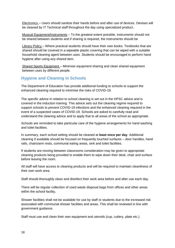Electronics – Users should sanitize their hands before and after use of devices. Devises will be cleaned by IT Technical staff throughout the day using specialized product..

Musical Equipment/Instruments – To the greatest extent possible, instruments should not be shared between students and if sharing is required, the instruments should be

Library Policy – Where practical students should have their own books. Textbooks that are shared should be covered in a wipeable plastic covering that can be wiped with a suitable household cleaning agent between uses. Students should be encouraged to perform hand hygiene after using any shared item.

Shared Sports Equipment – Minimise equipment sharing and clean shared equipment between uses by different people.

# **Hygiene and Cleaning in Schools**

The Department of Education has provide additional funding to schools to support the enhanced cleaning required to minimise the risks of COVID-19.

The specific advice in relation to school cleaning is set out in the HPSC advice and is covered in the induction training. This advice sets out the cleaning regime required to support schools to prevent COVID-19 infections and the enhanced cleaning required in the event of a suspected cases of COVID-19. Schools are asked to carefully read and understand the cleaning advice and to apply that to all areas of the school as appropriate.

Schools are reminded to take particular care of the hygiene arrangements for hand washing and toilet facilities.

In summary, each school setting should be cleaned at **least once per day**. Additional cleaning if available should be focused on frequently touched surfaces – door handles, hand rails, chairs/arm rests, communal eating areas, sink and toilet facilities.

If students are moving between classrooms consideration may be given to appropriate cleaning products being provided to enable them to wipe down their desk, chair and surface before leaving the room.

All staff will have access to cleaning products and will be required to maintain cleanliness of their own work area.

Staff should thoroughly clean and disinfect their work area before and after use each day.

There will be regular collection of used waste disposal bags from offices and other areas within the school facility**.** 

Shower facilities shall not be available for use by staff or students due to the increased risk associated with communal shower facilities and areas. This shall be reviewed in line with government guidance.

Staff must use and clean their own equipment and utensils (cup, cutlery, plate etc.).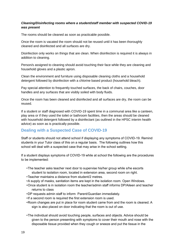## *Cleaning/Disinfecting rooms where a student/staff member with suspected COVID-19 was present*

The rooms should be cleaned as soon as practicable possible.

Once the room is vacated the room should not be reused until it has been thoroughly cleaned and disinfected and all surfaces are dry.

Disinfection only works on things that are clean. When disinfection is required it is always in addition to cleaning.

Person/s assigned to cleaning should avoid touching their face while they are cleaning and household gloves and a plastic apron.

Clean the environment and furniture using disposable cleaning cloths and a household detergent followed by disinfection with a chlorine based product (household bleach).

Pay special attention to frequently touched surfaces, the back of chairs, couches, door handles and any surfaces that are visibly soiled with body fluids.

Once the room has been cleaned and disinfected and all surfaces are dry, the room can be reused.

If a student or staff diagnosed with COVID-19 spent time in a communal area like a canteen, play area or if they used the toilet or bathroom facilities, then the areas should be cleaned with household detergent followed by a disinfectant (as outlined in the HPSC interim health advice) as soon as is practically possible.

## **Dealing with a Suspected Case of COVID-19**

Staff or students should not attend school if displaying any symptoms of COVID-19. Remind students in your Tutor class of this on a regular basis. The following outlines how this school will deal with a suspected case that may arise in the school setting.

If a student displays symptoms of COVID-19 while at school the following are the procedures to be implemented:

- •The teacher asks teacher next door to supervise his/her group while s/he escorts student to isolation room, located in extension area, second room on right.
- •Teacher maintains a distance from student/2 metres.
- •A supply of masks, sanitation items are kept in the isolation room. Open Windows.
- •Once student is in isolation room the teacher/admin staff informs DP/Aileen and teacher returns to class
- •DP requests admin staff to inform Parent/Guardian immediately.
- •If a second room is required the first extension room is used.
- •Room changes are put in place for room student came from and the room is cleaned. A sign is also placed on door indicating that the room is out of use.
- •The individual should avoid touching people, surfaces and objects. Advice should be given to the person presenting with symptoms to cover their mouth and nose with the disposable tissue provided when they cough or sneeze and put the tissue in the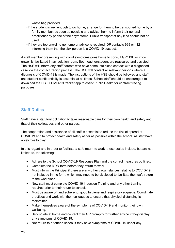waste bag provided;

- •If the student is well enough to go home, arrange for them to be transported home by a family member, as soon as possible and advise them to inform their general practitioner by phone of their symptoms. Public transport of any kind should not be used;
- •If they are too unwell to go home or advice is required, DP contacts 999 or 112 informing them that the sick person is a COVID-19 suspect.

A staff member presenting with covid symptoms goes home to consult GP/HSE or if too unwell is facilitated in an isolation room. Both teacher/student are reassured and assisted. The HSE will inform any staff/parents who have come into close contact with a diagnosed case via the contact tracing process. The HSE will contact all relevant persons where a diagnosis of COVID-19 is made. The instructions of the HSE should be followed and staff and student confidentiality is essential at all times. School staff should be encouraged to download the HSE COVID-19 tracker app to assist Public Health for contract tracing purposes.

# **Staff Duties**

Staff have a statutory obligation to take reasonable care for their own health and safety and that of their colleagues and other parties.

The cooperation and assistance of all staff is essential to reduce the risk of spread of COVID19 and to protect health and safety as far as possible within the school. All staff have a key role to play.

In this regard and in order to facilitate a safe return to work, these duties include, but are not limited to, the following:

- Adhere to the School COVID-19 Response Plan and the control measures outlined.
- Complete the RTW form before they return to work.
- Must inform the Principal if there are any other circumstances relating to COVID-19, not included in the form, which may need to be disclosed to facilitate their safe return to the workplace.
- New staff must complete COVID-19 Induction Training and any other training required prior to their return to school.
- Must be aware of, and adhere to, good hygiene and respiratory etiquette. Coordinate practices and work with their colleagues to ensure that physical distancing is maintained.
- Make themselves aware of the symptoms of COVID-19 and monitor their own wellbeing.
- Self-isolate at home and contact their GP promptly for further advice if they display any symptoms of COVID-19.
- Not return to or attend school if they have symptoms of COVID-19 under any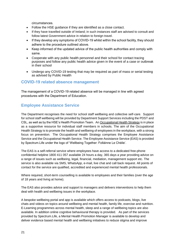circumstances.

- Follow the HSE guidance if they are identified as a close contact.
- If they have travelled outside of Ireland; in such instances staff are advised to consult and follow latest Government advice in relation to foreign travel.
- If they develop any symptoms of COVID-19 whilst within the school facility, they should adhere to the procedure outlined above.
- Keep informed of the updated advice of the public health authorities and comply with same.
- Cooperate with any public health personnel and their school for contact tracing purposes and follow any public health advice given in the event of a case or outbreak in their school
- Undergo any COVID-19 testing that may be required as part of mass or serial testing as advised by Public Health

## **COVID-19 related absence management**

The management of a COVID-19 related absence will be managed in line with agreed procedures with the Department of Education.

## **Employee Assistance Service**

The Department recognises the need for school staff wellbeing and collective self-care. Support for school staff wellbeing will be provided by Department Support Services including the PDST and CSL, as well as by the HSE's Health Promotion Team. An [Occupational Health Strategy](https://www.education.ie/en/Education-Staff/Information/Occupational-Health-Strategy/) is in place as a supportive resource for individual staff members in schools. The aim of the Occupational Health Strategy is to promote the health and wellbeing of employees in the workplace, with a strong focus on prevention. The Occupational Health Strategy comprises the Employee Assistance Service and the Occupational Health Service. The Employee Assistance Service (EAS) is provided by Spectrum.Life under the logo of 'Wellbeing Together: Folláinne Le Chéile'.

The EAS is a self-referral service where employees have access to a dedicated free-phone confidential helpline 1800 411 057 available 24 hours a day, 365 days a year providing advice on a range of issues such as wellbeing, legal, financial, mediation, management support etc. The service is also available via SMS, WhatsApp, e-mail, live chat and call back request. All points of contact for the service are qualified, accredited and experienced mental health professionals.

Where required, short-term counselling is available to employees and their families (over the age of 18 years and living at home).

The EAS also provides advice and support to managers and delivers interventions to help them deal with health and wellbeing issues in the workplace.

A bespoke wellbeing portal and app is available which offers access to podcasts, blogs, live chats and videos on topics around wellbeing and mental health, family life, exercise and nutrition. E-Learning programmes across mental health, sleep and a range of wellbeing topics are also available. In addition online cognitive behavioural therapy is provided. As part of the services provided by Spectrum.Life, a Mental Health Promotion Manager is available to develop and deliver evidence based mental health and wellbeing initiatives to reduce stigma and improve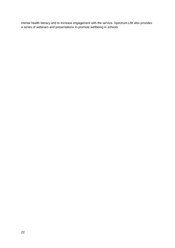mental health literacy and to increase engagement with the service. Spectrum.Life also provides a series of webinars and presentations to promote wellbeing in schools.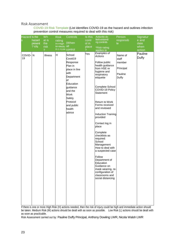#### Risk Assessment

COVID-19 Risk Template (List identifies COVID-19 as the hazard and outlines infection prevention control measures required to deal with this risk)

| <b>Hazard Is the</b><br>S | hazard<br>present<br>?Y/N | Wh<br>at is<br>the<br>risk<br>? | <b>Risk</b><br>rating<br>$H=High$<br>M=Mediu all<br>m L=Low control | Controls<br>(When                                                                                                                                                                         | Is this<br>contr<br>ol in<br>place<br>7 | Action/to do<br>list/outstandi<br>ng controls<br>*Risk rating<br>applies to                                                                                                                                                                                                                                                                                                                                                                                                                                                                             | Person<br>responsib<br>le.                                  | Signatur<br>e and<br>date<br>when<br>action |
|---------------------------|---------------------------|---------------------------------|---------------------------------------------------------------------|-------------------------------------------------------------------------------------------------------------------------------------------------------------------------------------------|-----------------------------------------|---------------------------------------------------------------------------------------------------------------------------------------------------------------------------------------------------------------------------------------------------------------------------------------------------------------------------------------------------------------------------------------------------------------------------------------------------------------------------------------------------------------------------------------------------------|-------------------------------------------------------------|---------------------------------------------|
| COVID-<br>19              | $\mathsf{N}$              | Illness                         | H                                                                   | School<br>Covid19<br>Response<br>Plan in<br>place in line<br>with<br>Department<br>of<br>Education<br>guidance<br>and the<br>Work<br>Safely<br>Protocol<br>and public<br>health<br>advice | Yes                                     | Examples of<br><b>Actions</b><br>Follow public<br>health guidance<br>from HSE re<br>hygiene and<br>respiratory<br>etiquette<br>Complete School<br>COVID-19 Policy<br>Statement<br>Return to Work<br>Forms received<br>and reviewed<br><b>Induction Training</b><br>provided<br>Contact log in<br>place<br>Complete<br>checklists as<br>required:<br>School<br>Management<br>How to deal with<br>a suspected case<br>Follow<br>Department of<br>Education<br>Guidance on<br>mask wearing, re-<br>configuration of<br>classrooms and<br>social distancing | Name of<br>staff<br>member<br>Principal<br>Pauline<br>Duffy | Pauline<br>Duffy                            |

If there is one or more High Risk (H) actions needed, then the risk of injury could be high and immediate action should be taken. Medium Risk (M) actions should be dealt with as soon as possible. Low Risk (L) actions should be dealt with as soon as practicable.

Risk Assessment carried out by: Pauline Duffy Principal, Anthony Dowling LWR, Nicola Walsh LWR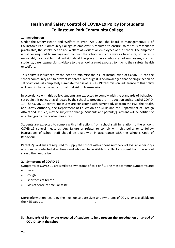# **Health and Safety Control of COVID-19 Policy for Students Collinstown Park Community College**

### **1. Introduction**

Under the Safety Health and Welfare at Work Act 2005, the board of management/ETB of Collinstown Park Community College as employer is required to ensure, so far as is reasonably practicable, the safety, health and welfare at work of all employees of the school. The employer is further required to manage and conduct the school in such a way as to ensure, so far as is reasonably practicable, that individuals at the place of work who are not employees, such as students, parents/guardians, visitors to the school, are not exposed to risks to their safety, health or welfare.

This policy is influenced by the need to minimise the risk of introduction of COVID-19 into the school community and to prevent its spread. Although it is acknowledged that no single action or set of actions will completely eliminate the risk of COVID-19 transmission, adherence to this policy will contribute to the reduction of that risk of transmission.

In accordance with this policy, students are expected to comply with the standards of behaviour set out in this policy or as directed by the school to prevent the introduction and spread of COVID-19. The COVID-19 control measures are consistent with current advice from the HSE, the Health and Safety Authority, the Department of Education and Skills and the Department of Foreign Affairs and, as such, may be subject to change. Students and parents/guardians will be notified of any changes to the control measures.

Students are expected to comply with all directions from school staff in relation to the school's COVID-19 control measures. Any failure or refusal to comply with this policy or to follow instructions of school staff should be dealt with in accordance with the school's Code of Behaviour.

Parents/guardians are required to supply the school with a phone number/s of available person/s who can be contacted at all times and who will be available to collect a student from the school should the need arise.

#### **2. Symptoms of COVID-19**

Symptoms of COVID-19 are similar to symptoms of cold or flu. The most common symptoms are:

- fever
- cough
- shortness of breath
- loss of sense of smell or taste

More information regarding the most up-to-date signs and symptoms of COVID-19 is available on the HSE website.

## **3. Standards of Behaviour expected of students to help prevent the introduction or spread of COVID -19 in the school**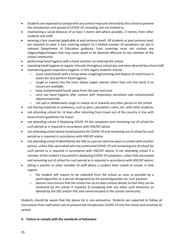- Students are expected to comply with any control measures directed by the school to prevent the introduction and spread of COVID-19, including, but not limited to:
- maintaining a social-distance of at least 1 metre and where possible, 2 metres, from other students and staff;
- wearing a face covering (applicable at post-primary level). All students at post-primary level, are required to wear a face covering subject to a limited number of exceptions set out in relevant Department of Education guidance. Face coverings must not contain any slogans/logos/images that may cause upset or be deemed offensive to any member of the school community.
- performing hand hygiene with a hand sanitiser on entering the school.
- repeating hand-hygiene at regular intervals throughout school day and when directed by school staff;
- maintaining good respiratory-hygiene. In this regard students should:
	- o cover nose/mouth with a tissue when coughing/sneezing and dispose of used tissue in waste bin and perform hand hygiene
	- o cough or sneeze into the inner elbow (upper sleeve) rather than into the hand, if no tissues are available.
	- o keep contaminated hands away from the eyes and nose
	- o carry out hand hygiene after contact with respiratory secretions and contaminated objects/materials
	- o not spit or deliberately cough or sneeze at or towards any other person in the school
- not sharing materials or stationery, such as pens, calculators, rulers, etc. with other students;
- not attending school for 14 days after returning from travel out of the country in line with Government guidelines for travel;
- not attending school if displaying COVID-19 like symptoms and remaining out of school for such period as is required in accordance with HSE/GP advice
- not attending school where tested positive for COVID-19 and remaining out of school for such period as is required in accordance with HSE/GP advice
- not attending school if identified by the HSE as a person who has been in contact with another person, unless fully vaccinated who has contracted COVID-19 and remaining out of school for such period as is required in accordance with HSE/GP advice;  $\mathbb D$  not attending school if a member of the student's household is displaying COVID-19 symptoms, unless fully vaccinated and remaining out of school for such period as is required in accordance with HSE/GP advice.
- telling a teacher or other member of staff where a student feels unwell at school. In that regard–
	- o the student will require to be collected from the school as soon as possible by a parent/guardian or a person designated by the parent/guardian for such purpose.
	- $\circ$  parents must ensure that the school has up-to-date contact details so that they can be contacted by the school if required.  $\mathbb D$  complying with any other such directions as advised by the DES and/or HSE and communicated to the school community.

Students should be aware that the above list is non-exhaustive. Students are expected to follow all instructions from staff which aim to prevent the introduction COVID-19 into the school and minimise its spread.

## **4. Failure to comply with the standards of behaviour**